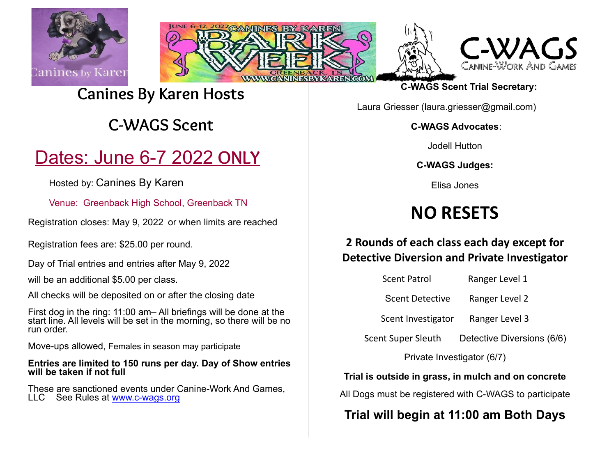







### **Canines By Karen Hosts**

### **C-WAGS Scent**

# Dates: June 6-7 2022 **ONLY**

Hosted by: Canines By Karen

Venue: Greenback High School, Greenback TN

Registration closes: May 9, 2022 or when limits are reached

Registration fees are: \$25.00 per round.

Day of Trial entries and entries after May 9, 2022

will be an additional \$5.00 per class.

All checks will be deposited on or after the closing date

First dog in the ring: 11:00 am– All briefings will be done at the start line. All levels will be set in the morning, so there will be no run order.

Move-ups allowed, Females in season may participate

#### **Entries are limited to 150 runs per day. Day of Show entries will be taken if not full**

These are sanctioned events under Canine-Work And Games, LLC See Rules at [www.c-wags.org](http://www.c-wags.org/)

**C-WAGS Scent Trial Secretary:**

Laura Griesser (laura.griesser@gmail.com)

**C-WAGS Advocates**:

Jodell Hutton

**C-WAGS Judges:**

Elisa Jones

# **NO RESETS**

### **2 Rounds of each class each day except for Detective Diversion and Private Investigator**

| <b>Scent Patrol</b>    | Ranger Level 1             |
|------------------------|----------------------------|
| <b>Scent Detective</b> | Ranger Level 2             |
| Scent Investigator     | Ranger Level 3             |
| Scent Super Sleuth     | Detective Diversions (6/6) |
|                        |                            |

Private Investigator (6/7)

### **Trial is outside in grass, in mulch and on concrete**

All Dogs must be registered with C-WAGS to participate

### **Trial will begin at 11:00 am Both Days**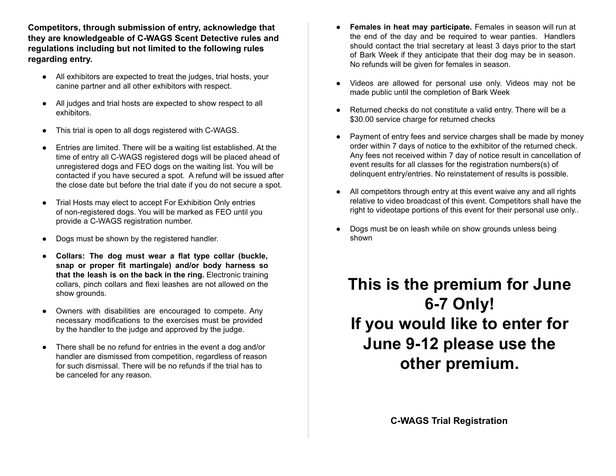**Competitors, through submission of entry, acknowledge that they are knowledgeable of C-WAGS Scent Detective rules and regulations including but not limited to the following rules regarding entry.**

- All exhibitors are expected to treat the judges, trial hosts, your canine partner and all other exhibitors with respect.
- All judges and trial hosts are expected to show respect to all exhibitors.
- This trial is open to all dogs registered with C-WAGS.
- Entries are limited. There will be a waiting list established. At the time of entry all C-WAGS registered dogs will be placed ahead of unregistered dogs and FEO dogs on the waiting list. You will be contacted if you have secured a spot. A refund will be issued after the close date but before the trial date if you do not secure a spot.
- Trial Hosts may elect to accept For Exhibition Only entries of non-registered dogs. You will be marked as FEO until you provide a C-WAGS registration number.
- Dogs must be shown by the registered handler.
- **Collars: The dog must wear a flat type collar (buckle, snap or proper fit martingale) and/or body harness so that the leash is on the back in the ring.** Electronic training collars, pinch collars and flexi leashes are not allowed on the show grounds.
- Owners with disabilities are encouraged to compete. Any necessary modifications to the exercises must be provided by the handler to the judge and approved by the judge.
- There shall be no refund for entries in the event a dog and/or handler are dismissed from competition, regardless of reason for such dismissal. There will be no refunds if the trial has to be canceled for any reason.
- **Females in heat may participate.** Females in season will run at the end of the day and be required to wear panties. Handlers should contact the trial secretary at least 3 days prior to the start of Bark Week if they anticipate that their dog may be in season. No refunds will be given for females in season.
- Videos are allowed for personal use only. Videos may not be made public until the completion of Bark Week
- Returned checks do not constitute a valid entry. There will be a \$30.00 service charge for returned checks
- Payment of entry fees and service charges shall be made by money order within 7 days of notice to the exhibitor of the returned check. Any fees not received within 7 day of notice result in cancellation of event results for all classes for the registration numbers(s) of delinquent entry/entries. No reinstatement of results is possible.
- All competitors through entry at this event waive any and all rights relative to video broadcast of this event. Competitors shall have the right to videotape portions of this event for their personal use only..
- Dogs must be on leash while on show grounds unless being shown

## **This is the premium for June 6-7 Only! If you would like to enter for June 9-12 please use the other premium.**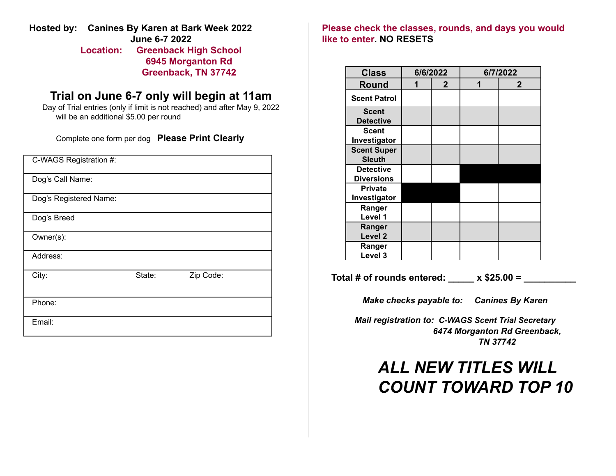**Hosted by: Canines By Karen at Bark Week 2022 June 6-7 2022 Location: Greenback High School 6945 Morganton Rd**

**Greenback, TN 37742**

### **Trial on June 6-7 only will begin at 11am**

Day of Trial entries (only if limit is not reached) and after May 9, 2022 will be an additional \$5.00 per round

Complete one form per dog **Please Print Clearly**

| C-WAGS Registration #: |        |           |  |
|------------------------|--------|-----------|--|
| Dog's Call Name:       |        |           |  |
| Dog's Registered Name: |        |           |  |
| Dog's Breed            |        |           |  |
| Owner(s):              |        |           |  |
| Address:               |        |           |  |
| City:                  | State: | Zip Code: |  |
| Phone:                 |        |           |  |
| Email:                 |        |           |  |

**Please check the classes, rounds, and days you would like to enter. NO RESETS**

| <b>Class</b>                          | 6/6/2022 |              | 6/7/2022 |              |
|---------------------------------------|----------|--------------|----------|--------------|
| <b>Round</b>                          |          | $\mathbf{2}$ | 1        | $\mathbf{2}$ |
| <b>Scent Patrol</b>                   |          |              |          |              |
| <b>Scent</b><br><b>Detective</b>      |          |              |          |              |
| <b>Scent</b><br>Investigator          |          |              |          |              |
| <b>Scent Super</b><br><b>Sleuth</b>   |          |              |          |              |
| <b>Detective</b><br><b>Diversions</b> |          |              |          |              |
| <b>Private</b><br>Investigator        |          |              |          |              |
| Ranger<br>Level 1                     |          |              |          |              |
| Ranger<br>Level <sub>2</sub>          |          |              |          |              |
| Ranger<br>Level 3                     |          |              |          |              |

**Total # of rounds entered: \_\_\_\_\_ x \$25.00 = \_\_\_\_\_\_\_\_\_\_**

*Make checks payable to: Canines By Karen*

*Mail registration to: C-WAGS Scent Trial Secretary 6474 Morganton Rd Greenback, TN 37742*

## *ALL NEW TITLES WILL COUNT TOWARD TOP 10*